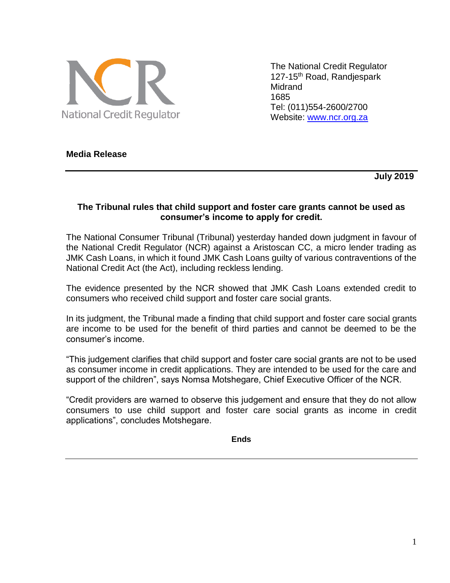

The National Credit Regulator 127-15th Road, Randjespark Midrand 1685 Tel: (011)554-2600/2700 Website: [www.ncr.org.za](http://www.ncr.org.za/)

# **Media Release**

 **July 2019** 

## **The Tribunal rules that child support and foster care grants cannot be used as consumer's income to apply for credit.**

The National Consumer Tribunal (Tribunal) yesterday handed down judgment in favour of the National Credit Regulator (NCR) against a Aristoscan CC, a micro lender trading as JMK Cash Loans, in which it found JMK Cash Loans guilty of various contraventions of the National Credit Act (the Act), including reckless lending.

The evidence presented by the NCR showed that JMK Cash Loans extended credit to consumers who received child support and foster care social grants.

In its judgment, the Tribunal made a finding that child support and foster care social grants are income to be used for the benefit of third parties and cannot be deemed to be the consumer's income.

"This judgement clarifies that child support and foster care social grants are not to be used as consumer income in credit applications. They are intended to be used for the care and support of the children", says Nomsa Motshegare, Chief Executive Officer of the NCR.

"Credit providers are warned to observe this judgement and ensure that they do not allow consumers to use child support and foster care social grants as income in credit applications", concludes Motshegare.

**Ends**